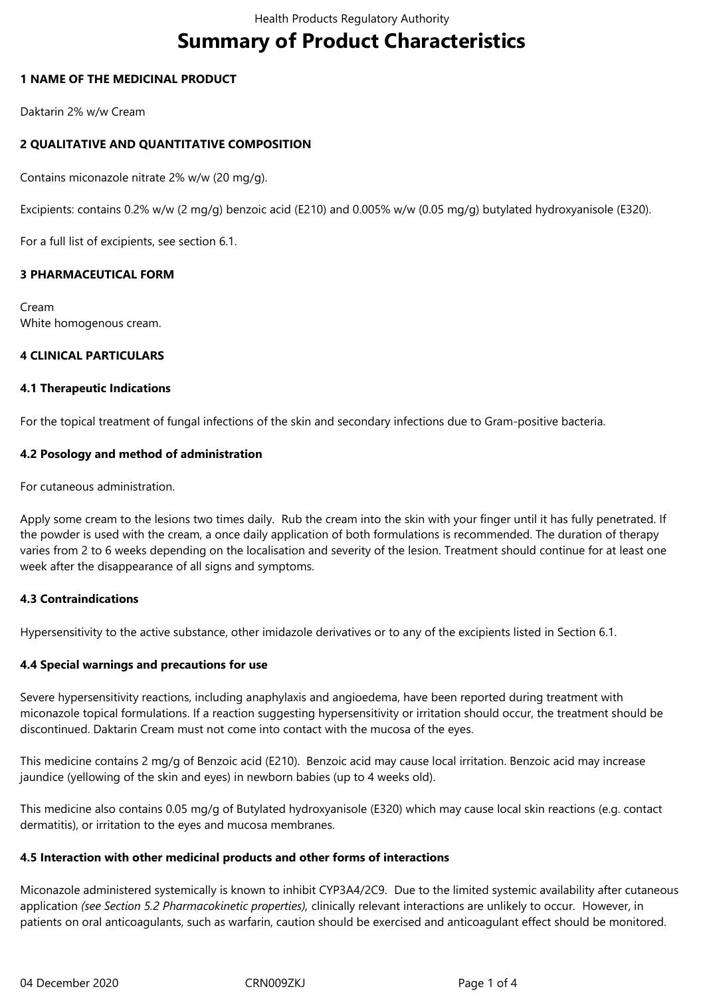# **Summary of Product Characteristics**

## **1 NAME OF THE MEDICINAL PRODUCT**

Daktarin 2% w/w Cream

# **2 QUALITATIVE AND QUANTITATIVE COMPOSITION**

Contains miconazole nitrate 2% w/w (20 mg/g).

Excipients: contains 0.2% w/w (2 mg/g) benzoic acid (E210) and 0.005% w/w (0.05 mg/g) butylated hydroxyanisole (E320).

For a full list of excipients, see section 6.1.

## **3 PHARMACEUTICAL FORM**

Cream White homogenous cream.

## **4 CLINICAL PARTICULARS**

## **4.1 Therapeutic Indications**

For the topical treatment of fungal infections of the skin and secondary infections due to Gram-positive bacteria.

# **4.2 Posology and method of administration**

For cutaneous administration.

Apply some cream to the lesions two times daily. Rub the cream into the skin with your finger until it has fully penetrated. If the powder is used with the cream, a once daily application of both formulations is recommended. The duration of therapy varies from 2 to 6 weeks depending on the localisation and severity of the lesion. Treatment should continue for at least one week after the disappearance of all signs and symptoms.

# **4.3 Contraindications**

Hypersensitivity to the active substance, other imidazole derivatives or to any of the excipients listed in Section 6.1.

# **4.4 Special warnings and precautions for use**

Severe hypersensitivity reactions, including anaphylaxis and angioedema, have been reported during treatment with miconazole topical formulations. If a reaction suggesting hypersensitivity or irritation should occur, the treatment should be discontinued. Daktarin Cream must not come into contact with the mucosa of the eyes.

This medicine contains 2 mg/g of Benzoic acid (E210). Benzoic acid may cause local irritation. Benzoic acid may increase jaundice (yellowing of the skin and eyes) in newborn babies (up to 4 weeks old).

This medicine also contains 0.05 mg/g of Butylated hydroxyanisole (E320) which may cause local skin reactions (e.g. contact dermatitis), or irritation to the eyes and mucosa membranes.

## **4.5 Interaction with other medicinal products and other forms of interactions**

Miconazole administered systemically is known to inhibit CYP3A4/2C9. Due to the limited systemic availability after cutaneous application *(see Section 5.2 Pharmacokinetic properties),* clinically relevant interactions are unlikely to occur. However, in patients on oral anticoagulants, such as warfarin, caution should be exercised and anticoagulant effect should be monitored.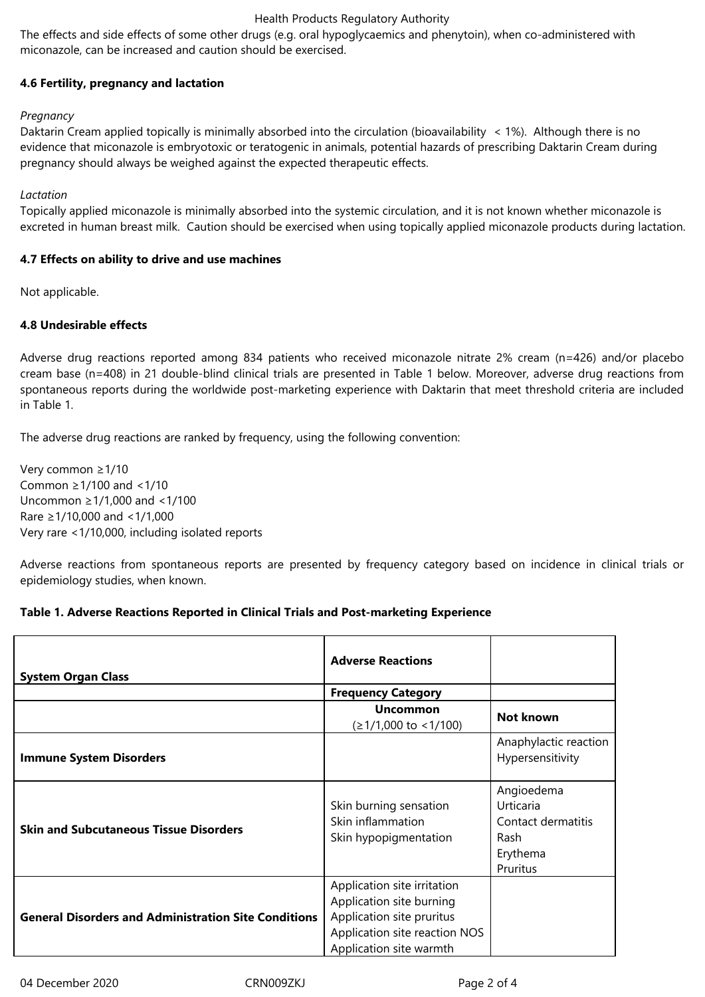## Health Products Regulatory Authority

The effects and side effects of some other drugs (e.g. oral hypoglycaemics and phenytoin), when co-administered with miconazole, can be increased and caution should be exercised.

# **4.6 Fertility, pregnancy and lactation**

## *Pregnancy*

Daktarin Cream applied topically is minimally absorbed into the circulation (bioavailability < 1%). Although there is no evidence that miconazole is embryotoxic or teratogenic in animals, potential hazards of prescribing Daktarin Cream during pregnancy should always be weighed against the expected therapeutic effects.

## *Lactation*

Topically applied miconazole is minimally absorbed into the systemic circulation, and it is not known whether miconazole is excreted in human breast milk. Caution should be exercised when using topically applied miconazole products during lactation.

## **4.7 Effects on ability to drive and use machines**

Not applicable.

# **4.8 Undesirable effects**

Adverse drug reactions reported among 834 patients who received miconazole nitrate 2% cream (n=426) and/or placebo cream base (n=408) in 21 double-blind clinical trials are presented in Table 1 below. Moreover, adverse drug reactions from spontaneous reports during the worldwide post-marketing experience with Daktarin that meet threshold criteria are included in Table 1.

The adverse drug reactions are ranked by frequency, using the following convention:

Very common ≥1/10 Common ≥1/100 and <1/10 Uncommon ≥1/1,000 and <1/100 Rare ≥1/10,000 and <1/1,000 Very rare <1/10,000, including isolated reports

Adverse reactions from spontaneous reports are presented by frequency category based on incidence in clinical trials or epidemiology studies, when known.

# **Table 1. Adverse Reactions Reported in Clinical Trials and Post-marketing Experience**

| <b>System Organ Class</b>                                   | <b>Adverse Reactions</b>                                                                                                                         |                                                                               |
|-------------------------------------------------------------|--------------------------------------------------------------------------------------------------------------------------------------------------|-------------------------------------------------------------------------------|
|                                                             | <b>Frequency Category</b>                                                                                                                        |                                                                               |
|                                                             | <b>Uncommon</b><br>$(≥1/1,000$ to <1/100)                                                                                                        | <b>Not known</b>                                                              |
| <b>Immune System Disorders</b>                              |                                                                                                                                                  | Anaphylactic reaction<br>Hypersensitivity                                     |
| <b>Skin and Subcutaneous Tissue Disorders</b>               | Skin burning sensation<br>Skin inflammation<br>Skin hypopigmentation                                                                             | Angioedema<br>Urticaria<br>Contact dermatitis<br>Rash<br>Erythema<br>Pruritus |
| <b>General Disorders and Administration Site Conditions</b> | Application site irritation<br>Application site burning<br>Application site pruritus<br>Application site reaction NOS<br>Application site warmth |                                                                               |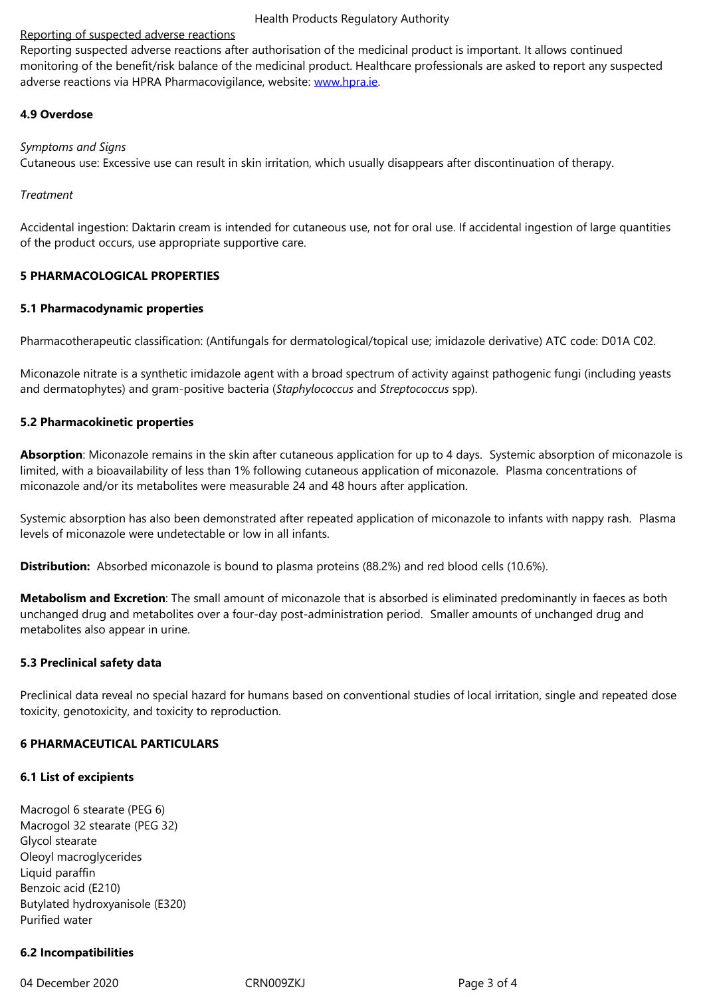monitoring of the benefit/risk balance of the medicinal product. Healthcare professionals are asked to report any suspected adverse reactions via HPRA Pharmacovigilance, website: www.hpra.ie.

## **4.9 Overdose**

#### *Symptoms and Signs*

Cutaneous use: Excessive use can result in skin irritation, which usually disappears after discontinuation of therapy.

#### *Treatment*

Accidental ingestion: Daktarin cream is intended for cutaneous use, not for oral use. If accidental ingestion of large quantities of the product occurs, use appropriate supportive care.

#### **5 PHARMACOLOGICAL PROPERTIES**

#### **5.1 Pharmacodynamic properties**

Pharmacotherapeutic classification: (Antifungals for dermatological/topical use; imidazole derivative) ATC code: D01A C02.

Miconazole nitrate is a synthetic imidazole agent with a broad spectrum of activity against pathogenic fungi (including yeasts and dermatophytes) and gram-positive bacteria (*Staphylococcus* and *Streptococcus* spp).

#### **5.2 Pharmacokinetic properties**

Absorption: Miconazole remains in the skin after cutaneous application for up to 4 days. Systemic absorption of miconazole is limited, with a bioavailability of less than 1% following cutaneous application of miconazole. Plasma concentrations of miconazole and/or its metabolites were measurable 24 and 48 hours after application.

Systemic absorption has also been demonstrated after repeated application of miconazole to infants with nappy rash. Plasma levels of miconazole were undetectable or low in all infants.

**Distribution:** Absorbed miconazole is bound to plasma proteins (88.2%) and red blood cells (10.6%).

**Metabolism and Excretion**: The small amount of miconazole that is absorbed is eliminated predominantly in faeces as both unchanged drug and metabolites over a four-day post-administration period. Smaller amounts of unchanged drug and metabolites also appear in urine.

## **5.3 Preclinical safety data**

Preclinical data reveal no special hazard for humans based on conventional studies of local irritation, single and repeated dose toxicity, genotoxicity, and toxicity to reproduction.

## **6 PHARMACEUTICAL PARTICULARS**

## **6.1 List of excipients**

Macrogol 6 stearate (PEG 6) Macrogol 32 stearate (PEG 32) Glycol stearate Oleoyl macroglycerides Liquid paraffin Benzoic acid (E210) Butylated hydroxyanisole (E320) Purified water

## **6.2 Incompatibilities**

04 December 2020 **CRN009ZKJ** CRN009ZKJ Page 3 of 4